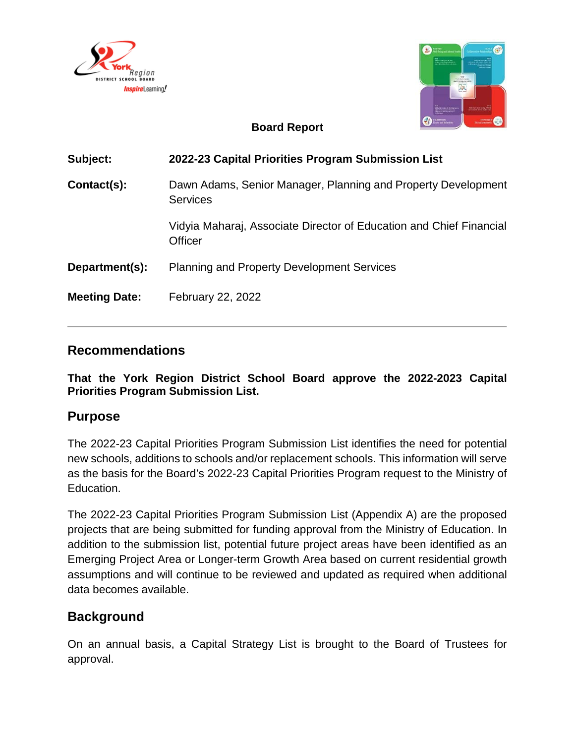



### **Board Report**

| Subject:             | 2022-23 Capital Priorities Program Submission List                                    |  |  |
|----------------------|---------------------------------------------------------------------------------------|--|--|
| Contact(s):          | Dawn Adams, Senior Manager, Planning and Property Development<br><b>Services</b>      |  |  |
|                      | Vidyia Maharaj, Associate Director of Education and Chief Financial<br><b>Officer</b> |  |  |
| Department(s):       | <b>Planning and Property Development Services</b>                                     |  |  |
| <b>Meeting Date:</b> | <b>February 22, 2022</b>                                                              |  |  |

### **Recommendations**

**That the York Region District School Board approve the 2022-2023 Capital Priorities Program Submission List.**

### **Purpose**

The 2022-23 Capital Priorities Program Submission List identifies the need for potential new schools, additions to schools and/or replacement schools. This information will serve as the basis for the Board's 2022-23 Capital Priorities Program request to the Ministry of Education.

The 2022-23 Capital Priorities Program Submission List (Appendix A) are the proposed projects that are being submitted for funding approval from the Ministry of Education. In addition to the submission list, potential future project areas have been identified as an Emerging Project Area or Longer-term Growth Area based on current residential growth assumptions and will continue to be reviewed and updated as required when additional data becomes available.

# **Background**

On an annual basis, a Capital Strategy List is brought to the Board of Trustees for approval.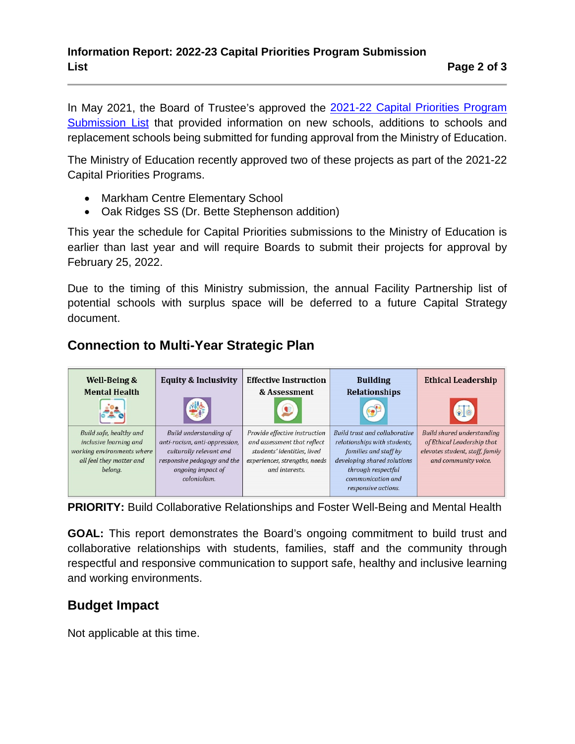In May 2021, the Board of Trustee's approved the [2021-22 Capital Priorities Program](https://www.yrdsb.ca/AboutUs/Departments/Planning/Documents/Board%20Report%202021-22%20Capital%20Priorities%20Program-04May2021.pdf)  [Submission List](https://www.yrdsb.ca/AboutUs/Departments/Planning/Documents/Board%20Report%202021-22%20Capital%20Priorities%20Program-04May2021.pdf) that provided information on new schools, additions to schools and replacement schools being submitted for funding approval from the Ministry of Education.

The Ministry of Education recently approved two of these projects as part of the 2021-22 Capital Priorities Programs.

- Markham Centre Elementary School
- Oak Ridges SS (Dr. Bette Stephenson addition)

This year the schedule for Capital Priorities submissions to the Ministry of Education is earlier than last year and will require Boards to submit their projects for approval by February 25, 2022.

Due to the timing of this Ministry submission, the annual Facility Partnership list of potential schools with surplus space will be deferred to a future Capital Strategy document.

# **Connection to Multi-Year Strategic Plan**



**PRIORITY:** Build Collaborative Relationships and Foster Well-Being and Mental Health

**GOAL:** This report demonstrates the Board's ongoing commitment to build trust and collaborative relationships with students, families, staff and the community through respectful and responsive communication to support safe, healthy and inclusive learning and working environments.

# **Budget Impact**

Not applicable at this time.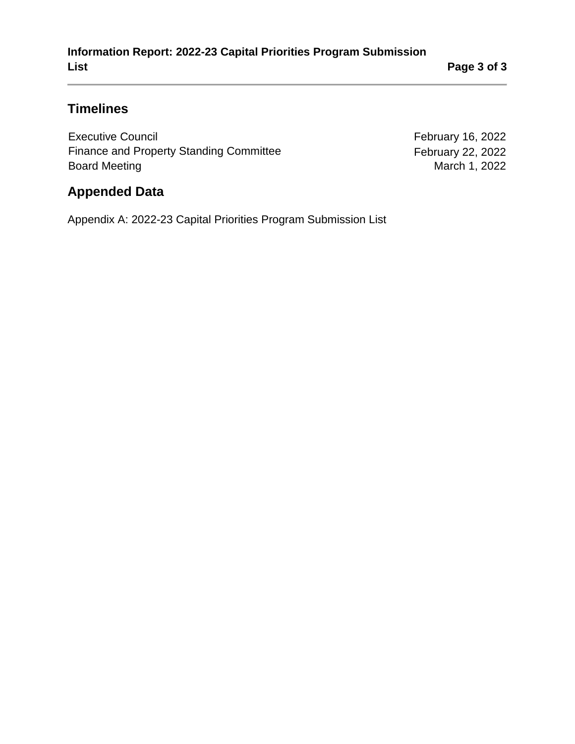# **Timelines**

Executive Council **Executive Council February 16, 2022** Finance and Property Standing Committee February 22, 2022<br>Board Meeting February 22, 2022 **Board Meeting** 

## **Appended Data**

Appendix A: 2022-23 Capital Priorities Program Submission List